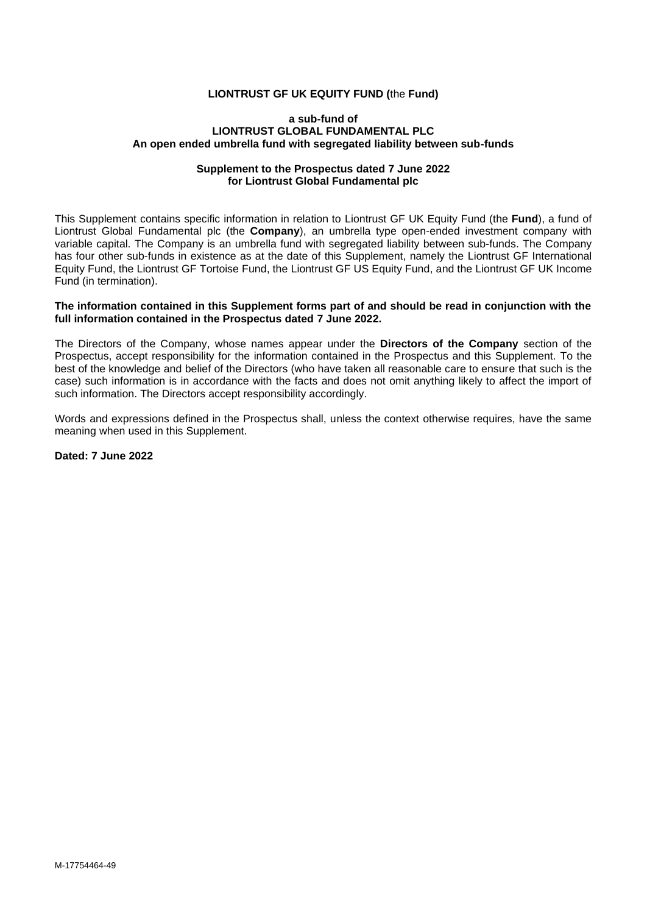#### **LIONTRUST GF UK EQUITY FUND (**the **Fund)**

#### **a sub-fund of LIONTRUST GLOBAL FUNDAMENTAL PLC An open ended umbrella fund with segregated liability between sub-funds**

#### **Supplement to the Prospectus dated 7 June 2022 for Liontrust Global Fundamental plc**

This Supplement contains specific information in relation to Liontrust GF UK Equity Fund (the **Fund**), a fund of Liontrust Global Fundamental plc (the **Company**), an umbrella type open-ended investment company with variable capital. The Company is an umbrella fund with segregated liability between sub-funds. The Company has four other sub-funds in existence as at the date of this Supplement, namely the Liontrust GF International Equity Fund, the Liontrust GF Tortoise Fund, the Liontrust GF US Equity Fund, and the Liontrust GF UK Income Fund (in termination).

#### **The information contained in this Supplement forms part of and should be read in conjunction with the full information contained in the Prospectus dated 7 June 2022.**

The Directors of the Company, whose names appear under the **Directors of the Company** section of the Prospectus, accept responsibility for the information contained in the Prospectus and this Supplement. To the best of the knowledge and belief of the Directors (who have taken all reasonable care to ensure that such is the case) such information is in accordance with the facts and does not omit anything likely to affect the import of such information. The Directors accept responsibility accordingly.

Words and expressions defined in the Prospectus shall, unless the context otherwise requires, have the same meaning when used in this Supplement.

**Dated: 7 June 2022**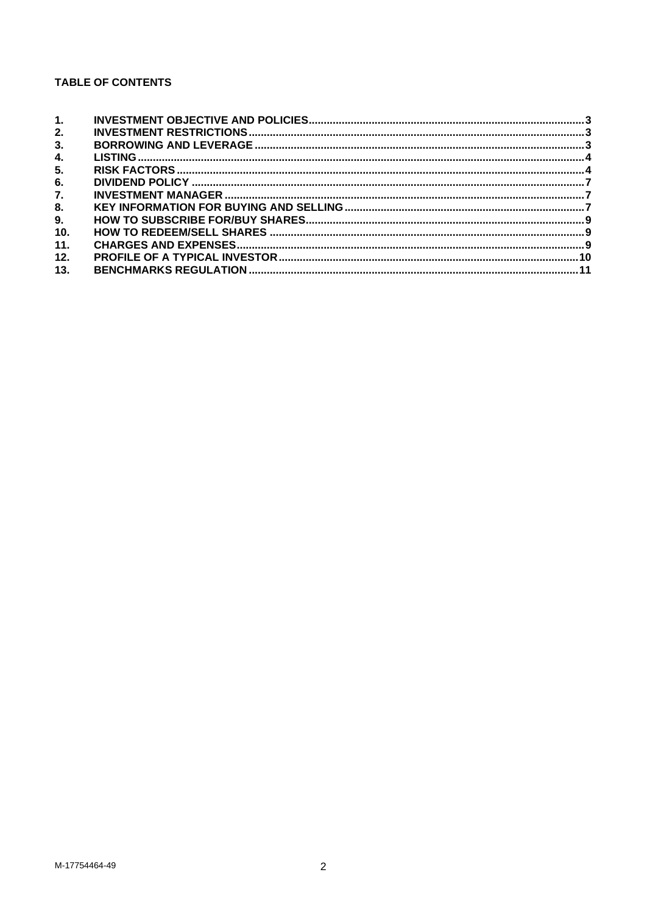# **TABLE OF CONTENTS**

| 1.  |  |
|-----|--|
| 2.  |  |
| 3.  |  |
| 4.  |  |
| 5.  |  |
| 6.  |  |
| 7.  |  |
| 8.  |  |
| 9.  |  |
| 10. |  |
| 11. |  |
| 12. |  |
| 13. |  |
|     |  |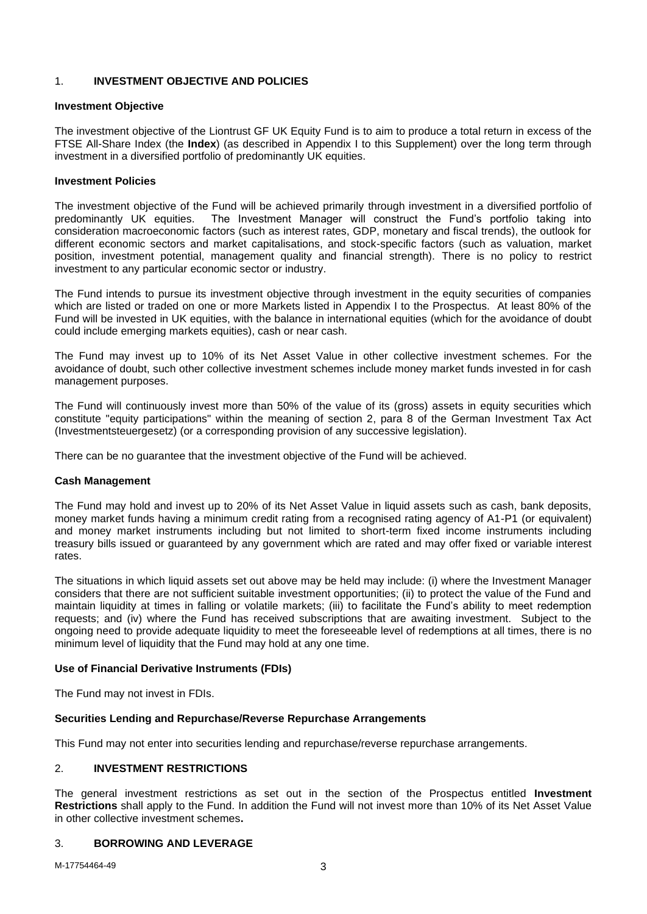## <span id="page-2-0"></span>1. **INVESTMENT OBJECTIVE AND POLICIES**

### **Investment Objective**

The investment objective of the Liontrust GF UK Equity Fund is to aim to produce a total return in excess of the FTSE All-Share Index (the **Index**) (as described in Appendix I to this Supplement) over the long term through investment in a diversified portfolio of predominantly UK equities.

### **Investment Policies**

The investment objective of the Fund will be achieved primarily through investment in a diversified portfolio of predominantly UK equities. The Investment Manager will construct the Fund's portfolio taking into consideration macroeconomic factors (such as interest rates, GDP, monetary and fiscal trends), the outlook for different economic sectors and market capitalisations, and stock-specific factors (such as valuation, market position, investment potential, management quality and financial strength). There is no policy to restrict investment to any particular economic sector or industry.

The Fund intends to pursue its investment objective through investment in the equity securities of companies which are listed or traded on one or more Markets listed in Appendix I to the Prospectus. At least 80% of the Fund will be invested in UK equities, with the balance in international equities (which for the avoidance of doubt could include emerging markets equities), cash or near cash.

The Fund may invest up to 10% of its Net Asset Value in other collective investment schemes. For the avoidance of doubt, such other collective investment schemes include money market funds invested in for cash management purposes.

The Fund will continuously invest more than 50% of the value of its (gross) assets in equity securities which constitute "equity participations" within the meaning of section 2, para 8 of the German Investment Tax Act (Investmentsteuergesetz) (or a corresponding provision of any successive legislation).

There can be no guarantee that the investment objective of the Fund will be achieved.

## **Cash Management**

The Fund may hold and invest up to 20% of its Net Asset Value in liquid assets such as cash, bank deposits, money market funds having a minimum credit rating from a recognised rating agency of A1-P1 (or equivalent) and money market instruments including but not limited to short-term fixed income instruments including treasury bills issued or guaranteed by any government which are rated and may offer fixed or variable interest rates.

The situations in which liquid assets set out above may be held may include: (i) where the Investment Manager considers that there are not sufficient suitable investment opportunities; (ii) to protect the value of the Fund and maintain liquidity at times in falling or volatile markets; (iii) to facilitate the Fund's ability to meet redemption requests; and (iv) where the Fund has received subscriptions that are awaiting investment. Subject to the ongoing need to provide adequate liquidity to meet the foreseeable level of redemptions at all times, there is no minimum level of liquidity that the Fund may hold at any one time.

## **Use of Financial Derivative Instruments (FDIs)**

The Fund may not invest in FDIs.

## **Securities Lending and Repurchase/Reverse Repurchase Arrangements**

This Fund may not enter into securities lending and repurchase/reverse repurchase arrangements.

## <span id="page-2-1"></span>2. **INVESTMENT RESTRICTIONS**

The general investment restrictions as set out in the section of the Prospectus entitled **Investment Restrictions** shall apply to the Fund. In addition the Fund will not invest more than 10% of its Net Asset Value in other collective investment schemes**.**

## <span id="page-2-2"></span>3. **BORROWING AND LEVERAGE**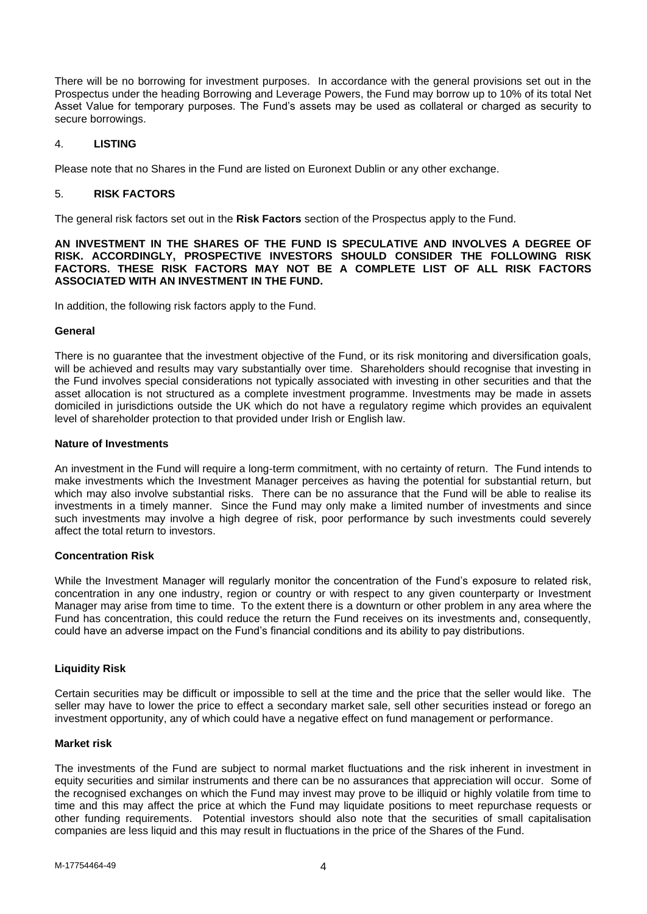There will be no borrowing for investment purposes. In accordance with the general provisions set out in the Prospectus under the heading Borrowing and Leverage Powers, the Fund may borrow up to 10% of its total Net Asset Value for temporary purposes. The Fund's assets may be used as collateral or charged as security to secure borrowings.

## <span id="page-3-0"></span>4. **LISTING**

Please note that no Shares in the Fund are listed on Euronext Dublin or any other exchange.

## <span id="page-3-1"></span>5. **RISK FACTORS**

The general risk factors set out in the **Risk Factors** section of the Prospectus apply to the Fund.

**AN INVESTMENT IN THE SHARES OF THE FUND IS SPECULATIVE AND INVOLVES A DEGREE OF RISK. ACCORDINGLY, PROSPECTIVE INVESTORS SHOULD CONSIDER THE FOLLOWING RISK FACTORS. THESE RISK FACTORS MAY NOT BE A COMPLETE LIST OF ALL RISK FACTORS ASSOCIATED WITH AN INVESTMENT IN THE FUND.**

In addition, the following risk factors apply to the Fund.

### **General**

There is no guarantee that the investment objective of the Fund, or its risk monitoring and diversification goals, will be achieved and results may vary substantially over time. Shareholders should recognise that investing in the Fund involves special considerations not typically associated with investing in other securities and that the asset allocation is not structured as a complete investment programme. Investments may be made in assets domiciled in jurisdictions outside the UK which do not have a regulatory regime which provides an equivalent level of shareholder protection to that provided under Irish or English law.

### **Nature of Investments**

An investment in the Fund will require a long-term commitment, with no certainty of return. The Fund intends to make investments which the Investment Manager perceives as having the potential for substantial return, but which may also involve substantial risks. There can be no assurance that the Fund will be able to realise its investments in a timely manner. Since the Fund may only make a limited number of investments and since such investments may involve a high degree of risk, poor performance by such investments could severely affect the total return to investors.

## **Concentration Risk**

While the Investment Manager will regularly monitor the concentration of the Fund's exposure to related risk, concentration in any one industry, region or country or with respect to any given counterparty or Investment Manager may arise from time to time. To the extent there is a downturn or other problem in any area where the Fund has concentration, this could reduce the return the Fund receives on its investments and, consequently, could have an adverse impact on the Fund's financial conditions and its ability to pay distributions.

## **Liquidity Risk**

Certain securities may be difficult or impossible to sell at the time and the price that the seller would like. The seller may have to lower the price to effect a secondary market sale, sell other securities instead or forego an investment opportunity, any of which could have a negative effect on fund management or performance.

## **Market risk**

The investments of the Fund are subject to normal market fluctuations and the risk inherent in investment in equity securities and similar instruments and there can be no assurances that appreciation will occur. Some of the recognised exchanges on which the Fund may invest may prove to be illiquid or highly volatile from time to time and this may affect the price at which the Fund may liquidate positions to meet repurchase requests or other funding requirements. Potential investors should also note that the securities of small capitalisation companies are less liquid and this may result in fluctuations in the price of the Shares of the Fund.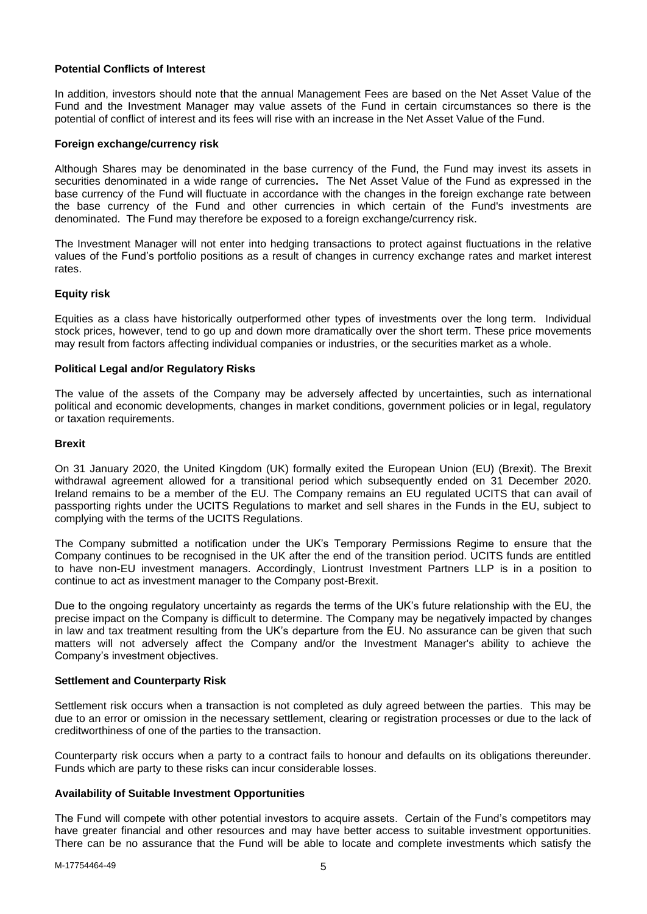### **Potential Conflicts of Interest**

In addition, investors should note that the annual Management Fees are based on the Net Asset Value of the Fund and the Investment Manager may value assets of the Fund in certain circumstances so there is the potential of conflict of interest and its fees will rise with an increase in the Net Asset Value of the Fund.

#### **Foreign exchange/currency risk**

Although Shares may be denominated in the base currency of the Fund, the Fund may invest its assets in securities denominated in a wide range of currencies**.** The Net Asset Value of the Fund as expressed in the base currency of the Fund will fluctuate in accordance with the changes in the foreign exchange rate between the base currency of the Fund and other currencies in which certain of the Fund's investments are denominated. The Fund may therefore be exposed to a foreign exchange/currency risk.

The Investment Manager will not enter into hedging transactions to protect against fluctuations in the relative values of the Fund's portfolio positions as a result of changes in currency exchange rates and market interest rates.

### **Equity risk**

Equities as a class have historically outperformed other types of investments over the long term. Individual stock prices, however, tend to go up and down more dramatically over the short term. These price movements may result from factors affecting individual companies or industries, or the securities market as a whole.

#### **Political Legal and/or Regulatory Risks**

The value of the assets of the Company may be adversely affected by uncertainties, such as international political and economic developments, changes in market conditions, government policies or in legal, regulatory or taxation requirements.

#### **Brexit**

On 31 January 2020, the United Kingdom (UK) formally exited the European Union (EU) (Brexit). The Brexit withdrawal agreement allowed for a transitional period which subsequently ended on 31 December 2020. Ireland remains to be a member of the EU. The Company remains an EU regulated UCITS that can avail of passporting rights under the UCITS Regulations to market and sell shares in the Funds in the EU, subject to complying with the terms of the UCITS Regulations.

The Company submitted a notification under the UK's Temporary Permissions Regime to ensure that the Company continues to be recognised in the UK after the end of the transition period. UCITS funds are entitled to have non-EU investment managers. Accordingly, Liontrust Investment Partners LLP is in a position to continue to act as investment manager to the Company post-Brexit.

Due to the ongoing regulatory uncertainty as regards the terms of the UK's future relationship with the EU, the precise impact on the Company is difficult to determine. The Company may be negatively impacted by changes in law and tax treatment resulting from the UK's departure from the EU. No assurance can be given that such matters will not adversely affect the Company and/or the Investment Manager's ability to achieve the Company's investment objectives.

#### **Settlement and Counterparty Risk**

Settlement risk occurs when a transaction is not completed as duly agreed between the parties. This may be due to an error or omission in the necessary settlement, clearing or registration processes or due to the lack of creditworthiness of one of the parties to the transaction.

Counterparty risk occurs when a party to a contract fails to honour and defaults on its obligations thereunder. Funds which are party to these risks can incur considerable losses.

## **Availability of Suitable Investment Opportunities**

The Fund will compete with other potential investors to acquire assets. Certain of the Fund's competitors may have greater financial and other resources and may have better access to suitable investment opportunities. There can be no assurance that the Fund will be able to locate and complete investments which satisfy the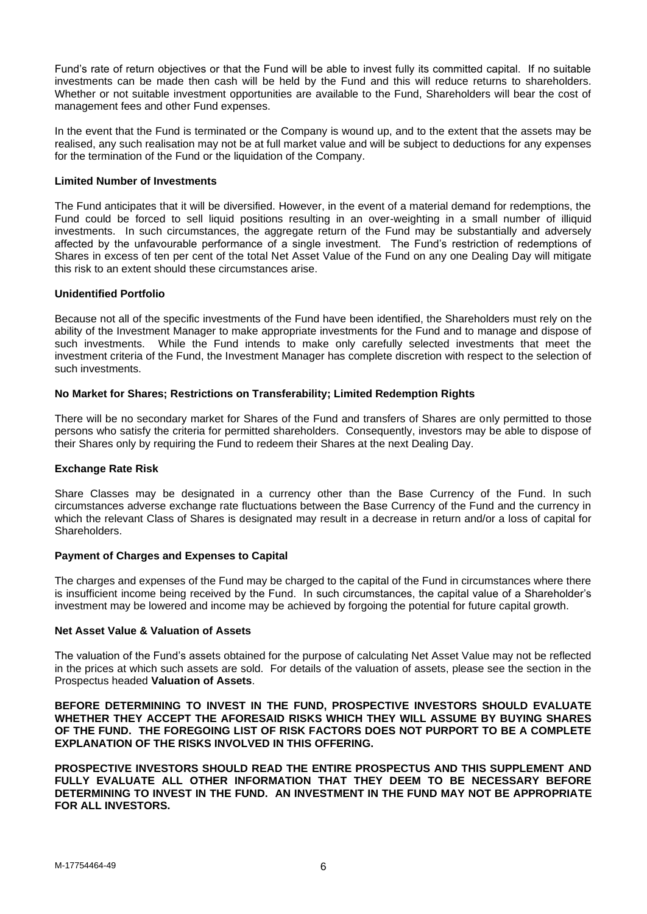Fund's rate of return objectives or that the Fund will be able to invest fully its committed capital. If no suitable investments can be made then cash will be held by the Fund and this will reduce returns to shareholders. Whether or not suitable investment opportunities are available to the Fund, Shareholders will bear the cost of management fees and other Fund expenses.

In the event that the Fund is terminated or the Company is wound up, and to the extent that the assets may be realised, any such realisation may not be at full market value and will be subject to deductions for any expenses for the termination of the Fund or the liquidation of the Company.

### **Limited Number of Investments**

The Fund anticipates that it will be diversified. However, in the event of a material demand for redemptions, the Fund could be forced to sell liquid positions resulting in an over-weighting in a small number of illiquid investments. In such circumstances, the aggregate return of the Fund may be substantially and adversely affected by the unfavourable performance of a single investment. The Fund's restriction of redemptions of Shares in excess of ten per cent of the total Net Asset Value of the Fund on any one Dealing Day will mitigate this risk to an extent should these circumstances arise.

### **Unidentified Portfolio**

Because not all of the specific investments of the Fund have been identified, the Shareholders must rely on the ability of the Investment Manager to make appropriate investments for the Fund and to manage and dispose of such investments. While the Fund intends to make only carefully selected investments that meet the investment criteria of the Fund, the Investment Manager has complete discretion with respect to the selection of such investments.

### **No Market for Shares; Restrictions on Transferability; Limited Redemption Rights**

There will be no secondary market for Shares of the Fund and transfers of Shares are only permitted to those persons who satisfy the criteria for permitted shareholders. Consequently, investors may be able to dispose of their Shares only by requiring the Fund to redeem their Shares at the next Dealing Day.

#### **Exchange Rate Risk**

Share Classes may be designated in a currency other than the Base Currency of the Fund. In such circumstances adverse exchange rate fluctuations between the Base Currency of the Fund and the currency in which the relevant Class of Shares is designated may result in a decrease in return and/or a loss of capital for Shareholders.

#### **Payment of Charges and Expenses to Capital**

The charges and expenses of the Fund may be charged to the capital of the Fund in circumstances where there is insufficient income being received by the Fund. In such circumstances, the capital value of a Shareholder's investment may be lowered and income may be achieved by forgoing the potential for future capital growth.

#### **Net Asset Value & Valuation of Assets**

The valuation of the Fund's assets obtained for the purpose of calculating Net Asset Value may not be reflected in the prices at which such assets are sold. For details of the valuation of assets, please see the section in the Prospectus headed **Valuation of Assets**.

**BEFORE DETERMINING TO INVEST IN THE FUND, PROSPECTIVE INVESTORS SHOULD EVALUATE WHETHER THEY ACCEPT THE AFORESAID RISKS WHICH THEY WILL ASSUME BY BUYING SHARES OF THE FUND. THE FOREGOING LIST OF RISK FACTORS DOES NOT PURPORT TO BE A COMPLETE EXPLANATION OF THE RISKS INVOLVED IN THIS OFFERING.**

**PROSPECTIVE INVESTORS SHOULD READ THE ENTIRE PROSPECTUS AND THIS SUPPLEMENT AND FULLY EVALUATE ALL OTHER INFORMATION THAT THEY DEEM TO BE NECESSARY BEFORE DETERMINING TO INVEST IN THE FUND. AN INVESTMENT IN THE FUND MAY NOT BE APPROPRIATE FOR ALL INVESTORS.**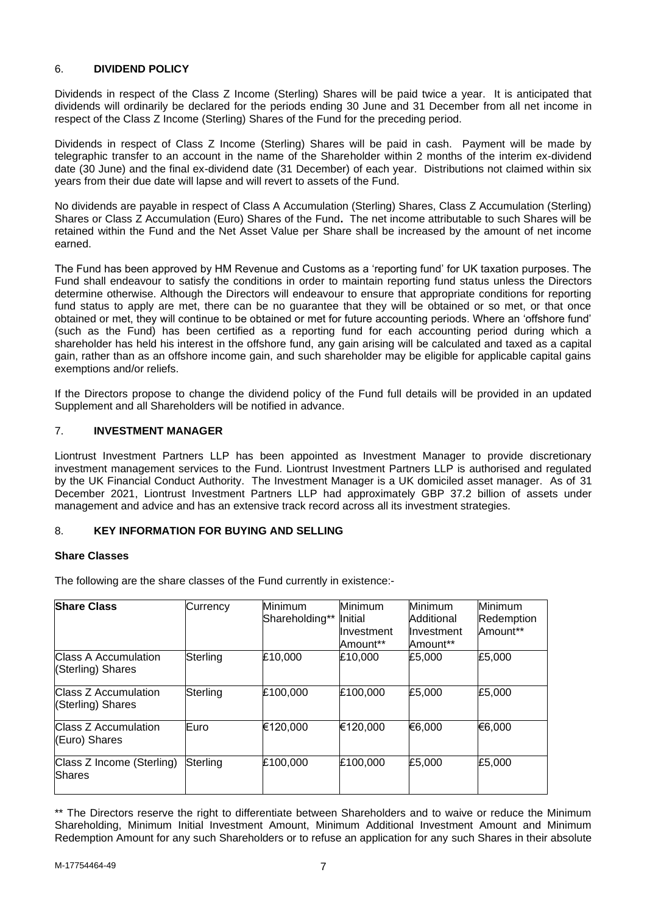## <span id="page-6-0"></span>6. **DIVIDEND POLICY**

Dividends in respect of the Class Z Income (Sterling) Shares will be paid twice a year. It is anticipated that dividends will ordinarily be declared for the periods ending 30 June and 31 December from all net income in respect of the Class Z Income (Sterling) Shares of the Fund for the preceding period.

Dividends in respect of Class Z Income (Sterling) Shares will be paid in cash. Payment will be made by telegraphic transfer to an account in the name of the Shareholder within 2 months of the interim ex-dividend date (30 June) and the final ex-dividend date (31 December) of each year. Distributions not claimed within six years from their due date will lapse and will revert to assets of the Fund.

No dividends are payable in respect of Class A Accumulation (Sterling) Shares, Class Z Accumulation (Sterling) Shares or Class Z Accumulation (Euro) Shares of the Fund**.** The net income attributable to such Shares will be retained within the Fund and the Net Asset Value per Share shall be increased by the amount of net income earned.

The Fund has been approved by HM Revenue and Customs as a 'reporting fund' for UK taxation purposes. The Fund shall endeavour to satisfy the conditions in order to maintain reporting fund status unless the Directors determine otherwise. Although the Directors will endeavour to ensure that appropriate conditions for reporting fund status to apply are met, there can be no guarantee that they will be obtained or so met, or that once obtained or met, they will continue to be obtained or met for future accounting periods. Where an 'offshore fund' (such as the Fund) has been certified as a reporting fund for each accounting period during which a shareholder has held his interest in the offshore fund, any gain arising will be calculated and taxed as a capital gain, rather than as an offshore income gain, and such shareholder may be eligible for applicable capital gains exemptions and/or reliefs.

If the Directors propose to change the dividend policy of the Fund full details will be provided in an updated Supplement and all Shareholders will be notified in advance.

## <span id="page-6-1"></span>7. **INVESTMENT MANAGER**

Liontrust Investment Partners LLP has been appointed as Investment Manager to provide discretionary investment management services to the Fund. Liontrust Investment Partners LLP is authorised and regulated by the UK Financial Conduct Authority. The Investment Manager is a UK domiciled asset manager. As of 31 December 2021, Liontrust Investment Partners LLP had approximately GBP 37.2 billion of assets under management and advice and has an extensive track record across all its investment strategies.

### <span id="page-6-2"></span>8. **KEY INFORMATION FOR BUYING AND SELLING**

#### **Share Classes**

The following are the share classes of the Fund currently in existence:-

| <b>Share Class</b>                               | Currency | Minimum<br>Shareholding** Initial | Minimum<br>Investment<br>Amount** | <b>Minimum</b><br>Additional<br>Investment<br>Amount** | Minimum<br>Redemption<br>Amount** |
|--------------------------------------------------|----------|-----------------------------------|-----------------------------------|--------------------------------------------------------|-----------------------------------|
| <b>Class A Accumulation</b><br>(Sterling) Shares | Sterling | £10,000                           | £10,000                           | £5,000                                                 | £5,000                            |
| Class Z Accumulation<br>(Sterling) Shares        | Sterling | £100,000                          | £100,000                          | £5,000                                                 | £5,000                            |
| <b>Class Z Accumulation</b><br>(Euro) Shares     | Euro     | €120,000                          | €120,000                          | €6,000                                                 | €6,000                            |
| Class Z Income (Sterling)<br>Shares              | Sterling | £100,000                          | £100,000                          | £5,000                                                 | £5,000                            |

\*\* The Directors reserve the right to differentiate between Shareholders and to waive or reduce the Minimum Shareholding, Minimum Initial Investment Amount, Minimum Additional Investment Amount and Minimum Redemption Amount for any such Shareholders or to refuse an application for any such Shares in their absolute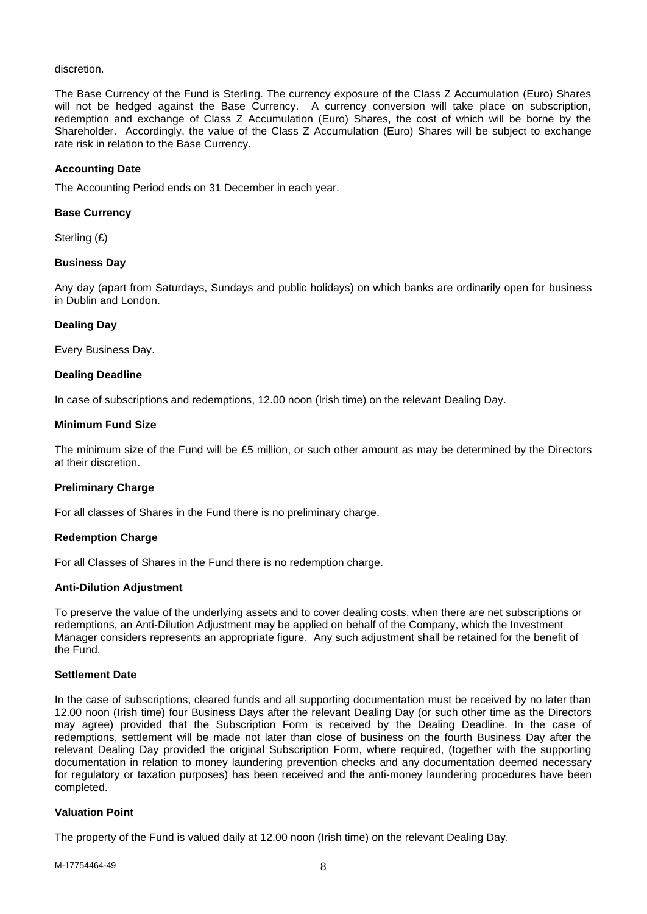#### discretion.

The Base Currency of the Fund is Sterling. The currency exposure of the Class Z Accumulation (Euro) Shares will not be hedged against the Base Currency. A currency conversion will take place on subscription, redemption and exchange of Class Z Accumulation (Euro) Shares, the cost of which will be borne by the Shareholder. Accordingly, the value of the Class Z Accumulation (Euro) Shares will be subject to exchange rate risk in relation to the Base Currency.

#### **Accounting Date**

The Accounting Period ends on 31 December in each year.

### **Base Currency**

Sterling (£)

### **Business Day**

Any day (apart from Saturdays, Sundays and public holidays) on which banks are ordinarily open for business in Dublin and London.

### **Dealing Day**

Every Business Day.

### **Dealing Deadline**

In case of subscriptions and redemptions, 12.00 noon (Irish time) on the relevant Dealing Day.

#### **Minimum Fund Size**

The minimum size of the Fund will be £5 million, or such other amount as may be determined by the Directors at their discretion.

## **Preliminary Charge**

For all classes of Shares in the Fund there is no preliminary charge.

#### **Redemption Charge**

For all Classes of Shares in the Fund there is no redemption charge.

#### **Anti-Dilution Adjustment**

To preserve the value of the underlying assets and to cover dealing costs, when there are net subscriptions or redemptions, an Anti-Dilution Adjustment may be applied on behalf of the Company, which the Investment Manager considers represents an appropriate figure. Any such adjustment shall be retained for the benefit of the Fund.

### **Settlement Date**

In the case of subscriptions, cleared funds and all supporting documentation must be received by no later than 12.00 noon (Irish time) four Business Days after the relevant Dealing Day (or such other time as the Directors may agree) provided that the Subscription Form is received by the Dealing Deadline. In the case of redemptions, settlement will be made not later than close of business on the fourth Business Day after the relevant Dealing Day provided the original Subscription Form, where required, (together with the supporting documentation in relation to money laundering prevention checks and any documentation deemed necessary for regulatory or taxation purposes) has been received and the anti-money laundering procedures have been completed.

### **Valuation Point**

The property of the Fund is valued daily at 12.00 noon (Irish time) on the relevant Dealing Day.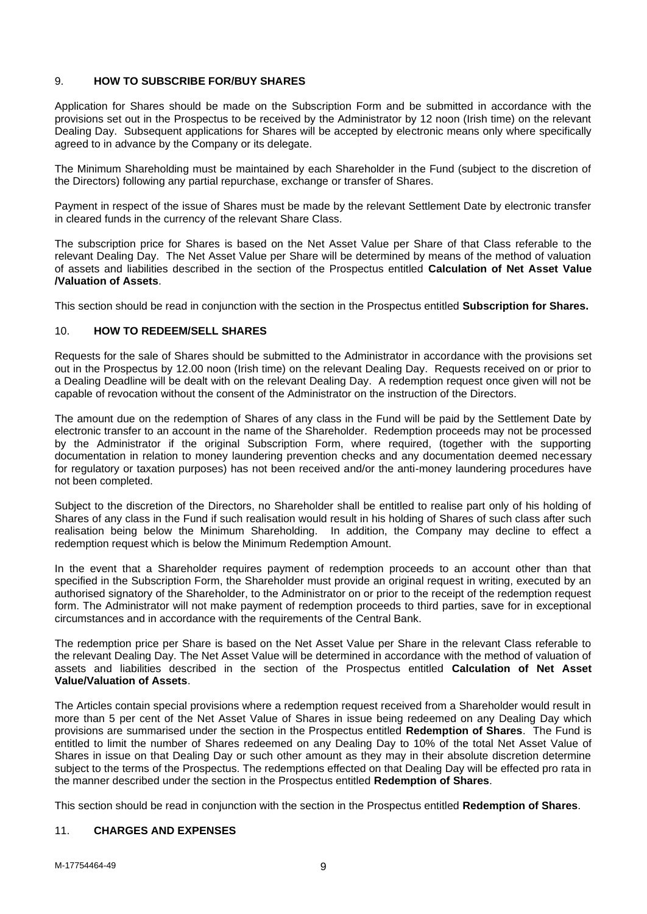## <span id="page-8-0"></span>9. **HOW TO SUBSCRIBE FOR/BUY SHARES**

Application for Shares should be made on the Subscription Form and be submitted in accordance with the provisions set out in the Prospectus to be received by the Administrator by 12 noon (Irish time) on the relevant Dealing Day. Subsequent applications for Shares will be accepted by electronic means only where specifically agreed to in advance by the Company or its delegate.

The Minimum Shareholding must be maintained by each Shareholder in the Fund (subject to the discretion of the Directors) following any partial repurchase, exchange or transfer of Shares.

Payment in respect of the issue of Shares must be made by the relevant Settlement Date by electronic transfer in cleared funds in the currency of the relevant Share Class.

The subscription price for Shares is based on the Net Asset Value per Share of that Class referable to the relevant Dealing Day. The Net Asset Value per Share will be determined by means of the method of valuation of assets and liabilities described in the section of the Prospectus entitled **Calculation of Net Asset Value /Valuation of Assets**.

This section should be read in conjunction with the section in the Prospectus entitled **Subscription for Shares.**

### <span id="page-8-1"></span>10. **HOW TO REDEEM/SELL SHARES**

Requests for the sale of Shares should be submitted to the Administrator in accordance with the provisions set out in the Prospectus by 12.00 noon (Irish time) on the relevant Dealing Day. Requests received on or prior to a Dealing Deadline will be dealt with on the relevant Dealing Day. A redemption request once given will not be capable of revocation without the consent of the Administrator on the instruction of the Directors.

The amount due on the redemption of Shares of any class in the Fund will be paid by the Settlement Date by electronic transfer to an account in the name of the Shareholder. Redemption proceeds may not be processed by the Administrator if the original Subscription Form, where required, (together with the supporting documentation in relation to money laundering prevention checks and any documentation deemed necessary for regulatory or taxation purposes) has not been received and/or the anti-money laundering procedures have not been completed.

Subject to the discretion of the Directors, no Shareholder shall be entitled to realise part only of his holding of Shares of any class in the Fund if such realisation would result in his holding of Shares of such class after such realisation being below the Minimum Shareholding. In addition, the Company may decline to effect a redemption request which is below the Minimum Redemption Amount.

In the event that a Shareholder requires payment of redemption proceeds to an account other than that specified in the Subscription Form, the Shareholder must provide an original request in writing, executed by an authorised signatory of the Shareholder, to the Administrator on or prior to the receipt of the redemption request form. The Administrator will not make payment of redemption proceeds to third parties, save for in exceptional circumstances and in accordance with the requirements of the Central Bank.

The redemption price per Share is based on the Net Asset Value per Share in the relevant Class referable to the relevant Dealing Day. The Net Asset Value will be determined in accordance with the method of valuation of assets and liabilities described in the section of the Prospectus entitled **Calculation of Net Asset Value/Valuation of Assets**.

The Articles contain special provisions where a redemption request received from a Shareholder would result in more than 5 per cent of the Net Asset Value of Shares in issue being redeemed on any Dealing Day which provisions are summarised under the section in the Prospectus entitled **Redemption of Shares**. The Fund is entitled to limit the number of Shares redeemed on any Dealing Day to 10% of the total Net Asset Value of Shares in issue on that Dealing Day or such other amount as they may in their absolute discretion determine subject to the terms of the Prospectus. The redemptions effected on that Dealing Day will be effected pro rata in the manner described under the section in the Prospectus entitled **Redemption of Shares**.

This section should be read in conjunction with the section in the Prospectus entitled **Redemption of Shares**.

#### <span id="page-8-2"></span>11. **CHARGES AND EXPENSES**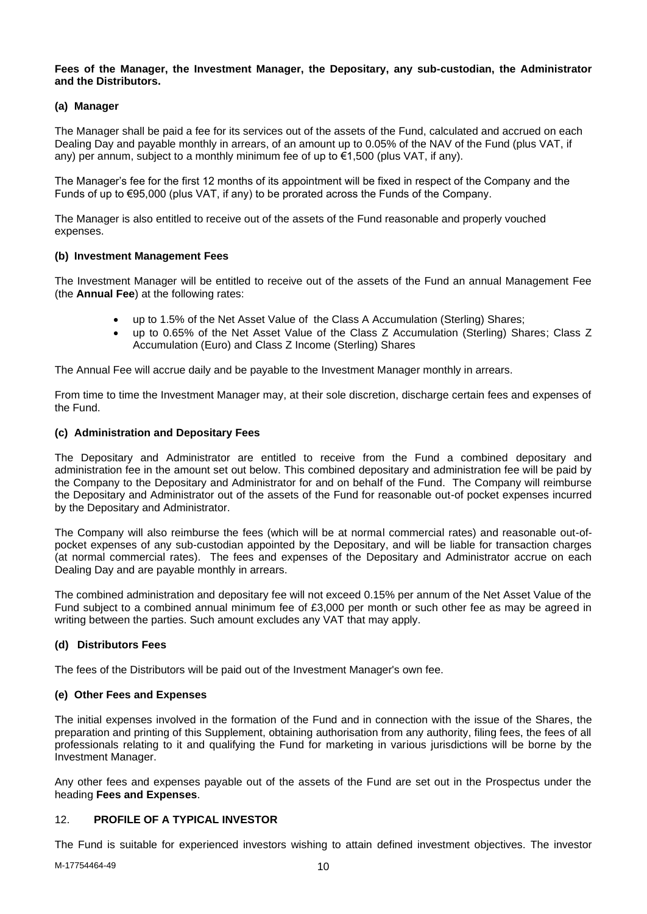### **Fees of the Manager, the Investment Manager, the Depositary, any sub-custodian, the Administrator and the Distributors.**

## **(a) Manager**

The Manager shall be paid a fee for its services out of the assets of the Fund, calculated and accrued on each Dealing Day and payable monthly in arrears, of an amount up to 0.05% of the NAV of the Fund (plus VAT, if any) per annum, subject to a monthly minimum fee of up to  $\epsilon$ 1,500 (plus VAT, if any).

The Manager's fee for the first 12 months of its appointment will be fixed in respect of the Company and the Funds of up to  $\epsilon$ 95,000 (plus VAT, if any) to be prorated across the Funds of the Company.

The Manager is also entitled to receive out of the assets of the Fund reasonable and properly vouched expenses.

## **(b) Investment Management Fees**

The Investment Manager will be entitled to receive out of the assets of the Fund an annual Management Fee (the **Annual Fee**) at the following rates:

- up to 1.5% of the Net Asset Value of the Class A Accumulation (Sterling) Shares;
- up to 0.65% of the Net Asset Value of the Class Z Accumulation (Sterling) Shares; Class Z Accumulation (Euro) and Class Z Income (Sterling) Shares

The Annual Fee will accrue daily and be payable to the Investment Manager monthly in arrears.

From time to time the Investment Manager may, at their sole discretion, discharge certain fees and expenses of the Fund.

### **(c) Administration and Depositary Fees**

The Depositary and Administrator are entitled to receive from the Fund a combined depositary and administration fee in the amount set out below. This combined depositary and administration fee will be paid by the Company to the Depositary and Administrator for and on behalf of the Fund. The Company will reimburse the Depositary and Administrator out of the assets of the Fund for reasonable out-of pocket expenses incurred by the Depositary and Administrator.

The Company will also reimburse the fees (which will be at normal commercial rates) and reasonable out-ofpocket expenses of any sub-custodian appointed by the Depositary, and will be liable for transaction charges (at normal commercial rates). The fees and expenses of the Depositary and Administrator accrue on each Dealing Day and are payable monthly in arrears.

The combined administration and depositary fee will not exceed 0.15% per annum of the Net Asset Value of the Fund subject to a combined annual minimum fee of £3,000 per month or such other fee as may be agreed in writing between the parties. Such amount excludes any VAT that may apply.

## **(d) Distributors Fees**

The fees of the Distributors will be paid out of the Investment Manager's own fee.

## **(e) Other Fees and Expenses**

The initial expenses involved in the formation of the Fund and in connection with the issue of the Shares, the preparation and printing of this Supplement, obtaining authorisation from any authority, filing fees, the fees of all professionals relating to it and qualifying the Fund for marketing in various jurisdictions will be borne by the Investment Manager.

Any other fees and expenses payable out of the assets of the Fund are set out in the Prospectus under the heading **Fees and Expenses**.

## <span id="page-9-0"></span>12. **PROFILE OF A TYPICAL INVESTOR**

The Fund is suitable for experienced investors wishing to attain defined investment objectives. The investor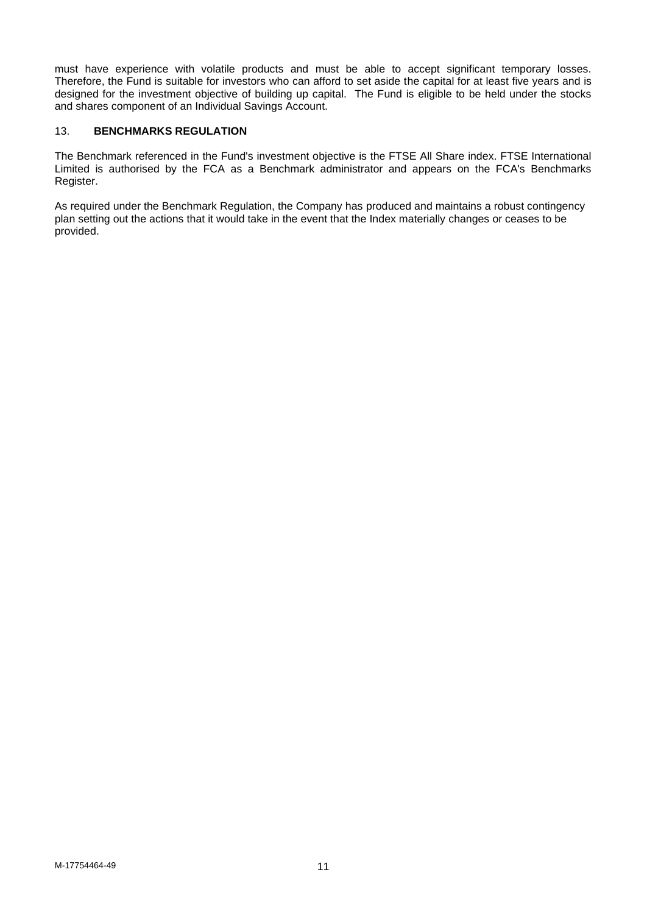must have experience with volatile products and must be able to accept significant temporary losses. Therefore, the Fund is suitable for investors who can afford to set aside the capital for at least five years and is designed for the investment objective of building up capital. The Fund is eligible to be held under the stocks and shares component of an Individual Savings Account.

## <span id="page-10-0"></span>13. **BENCHMARKS REGULATION**

The Benchmark referenced in the Fund's investment objective is the FTSE All Share index. FTSE International Limited is authorised by the FCA as a Benchmark administrator and appears on the FCA's Benchmarks Register.

As required under the Benchmark Regulation, the Company has produced and maintains a robust contingency plan setting out the actions that it would take in the event that the Index materially changes or ceases to be provided.